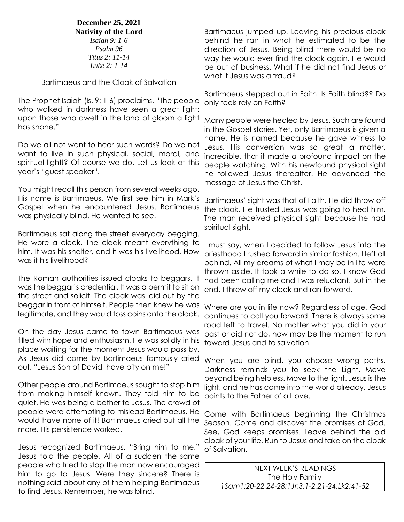**December 25, 2021 Nativity of the Lord**

*Isaiah 9: 1-6 Psalm 96 Titus 2: 11-14 Luke 2: 1-14*

Bartimaeus and the Cloak of Salvation

The Prophet Isaiah (Is. 9: 1-6) proclaims, "The people who walked in darkness have seen a great light; upon those who dwelt in the land of gloom a light has shone."

Do we all not want to hear such words? Do we not want to live in such physical, social, moral, and spiritual light!? Of course we do. Let us look at this year's "guest speaker".

You might recall this person from several weeks ago. His name is Bartimaeus. We first see him in Mark's Gospel when he encountered Jesus. Bartimaeus was physically blind. He wanted to see.

Bartimaeus sat along the street everyday begging. He wore a cloak. The cloak meant everything to him. It was his shelter, and it was his livelihood. How was it his livelihood?

The Roman authorities issued cloaks to beggars. It was the beggar's credential. It was a permit to sit on the street and solicit. The cloak was laid out by the beggar in front of himself. People then knew he was

On the day Jesus came to town Bartimaeus was filled with hope and enthusiasm. He was solidly in his place waiting for the moment Jesus would pass by. As Jesus did come by Bartimaeus famously cried out, "Jesus Son of David, have pity on me!"

Other people around Bartimaeus sought to stop him from making himself known. They told him to be quiet. He was being a bother to Jesus. The crowd of people were attempting to mislead Bartimaeus. He would have none of it! Bartimaeus cried out all the more. His persistence worked.

Jesus recognized Bartimaeus. "Bring him to me," Jesus told the people. All of a sudden the same people who tried to stop the man now encouraged him to go to Jesus. Were they sincere? There is nothing said about any of them helping Bartimaeus to find Jesus. Remember, he was blind.

Bartimaeus jumped up. Leaving his precious cloak behind he ran in what he estimated to be the direction of Jesus. Being blind there would be no way he would ever find the cloak again. He would be out of business. What if he did not find Jesus or what if Jesus was a fraud?

Bartimaeus stepped out in Faith. Is Faith blind?? Do only fools rely on Faith?

Many people were healed by Jesus. Such are found in the Gospel stories. Yet, only Bartimaeus is given a name. He is named because he gave witness to Jesus. His conversion was so great a matter, incredible, that it made a profound impact on the people watching. With his newfound physical sight he followed Jesus thereafter. He advanced the message of Jesus the Christ.

Bartimaeus' sight was that of Faith. He did throw off the cloak. He trusted Jesus was going to heal him. The man received physical sight because he had spiritual sight.

I must say, when I decided to follow Jesus into the priesthood I rushed forward in similar fashion. I left all behind. All my dreams of what I may be in life were thrown aside. It took a while to do so. I know God had been calling me and I was reluctant. But in the end, I threw off my cloak and ran forward.

legitimate, and they would toss coins onto the cloak. continues to call you forward. There is always some Where are you in life now? Regardless of age, God road left to travel. No matter what you did in your past or did not do, now may be the moment to run toward Jesus and to salvation.

> When you are blind, you choose wrong paths. Darkness reminds you to seek the Light. Move beyond being helpless. Move to the light. Jesus is the light, and he has come into the world already. Jesus points to the Father of all love.

> Come with Bartimaeus beginning the Christmas Season. Come and discover the promises of God. See, God keeps promises. Leave behind the old cloak of your life. Run to Jesus and take on the cloak of Salvation.

NEXT WEEK'S READINGS The Holy Family *1Sam1:20-22,24-28;1Jn3:1-2,21-24;Lk2:41-52*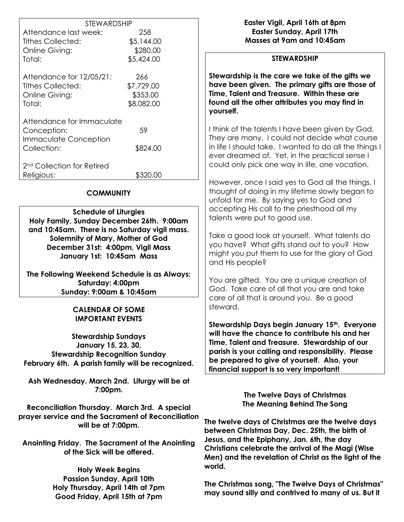|                                        | <b>STEWARDSHIP</b> |  |  |
|----------------------------------------|--------------------|--|--|
| Attendance last week:                  | 258                |  |  |
| <b>Tithes Collected:</b>               | \$5,144.00         |  |  |
| Online Giving:                         | \$280.00           |  |  |
| Total:                                 | \$5,424.00         |  |  |
| Attendance for 12/05/21:               | 266                |  |  |
| Tithes Collected:                      | \$7,729.00         |  |  |
| Online Giving:                         | \$353.00           |  |  |
| Total:                                 | \$8,082.00         |  |  |
| Attendance for Immaculate              |                    |  |  |
| Conception:                            | 59                 |  |  |
| <b>Immaculate Conception</b>           |                    |  |  |
| Collection:                            | \$824.00           |  |  |
|                                        |                    |  |  |
| 2 <sup>nd</sup> Collection for Retired |                    |  |  |
| Religious:                             | \$320.00           |  |  |

### **COMMUNITY**

**Schedule of Liturgies Holy Family, Sunday December 26th. 9:00am and 10:45am. There is no Saturday vigil mass. Solemnity of Mary, Mother of God December 31st: 4:00pm, Vigil Mass January 1st: 10:45am Mass**

**The Following Weekend Schedule is as Always: Saturday: 4:00pm Sunday: 9:00am & 10:45am**

### **CALENDAR OF SOME IMPORTANT EVENTS**

**Stewardship Sundays January 15, 23, 30, Stewardship Recognition Sunday February 6th. A parish family will be recognized.**

**Ash Wednesday. March 2nd. Liturgy will be at 7:00pm.**

**Reconciliation Thursday. March 3rd. A special prayer service and the Sacrament of Reconciliation will be at 7:00pm.**

**Anointing Friday. The Sacrament of the Anointing of the Sick will be offered.**

> **Holy Week Begins Passion Sunday, April 10th Holy Thursday, April 14th at 7pm Good Friday, April 15th at 7pm**

**Easter Vigil, April 16th at 8pm Easter Sunday, April 17th Masses at 9am and 10:45am**

### **STEWARDSHIP**

**Stewardship is the care we take of the gifts we have been given. The primary gifts are those of Time, Talent and Treasure. Within these are found all the other attributes you may find in yourself.**

I think of the talents I have been given by God. They are many. I could not decide what course in life I should take. I wanted to do all the things I ever dreamed of. Yet, in the practical sense I could only pick one way in life, one vocation.

However, once I said yes to God all the things, I thought of doing in my lifetime slowly began to unfold for me. By saying yes to God and accepting His call to the priesthood all my talents were put to good use.

Take a good look at yourself. What talents do you have? What gifts stand out to you? How might you put them to use for the glory of God and His people?

You are gifted. You are a unique creation of God. Take care of all that you are and take care of all that is around you. Be a good steward.

**Stewardship Days begin January 15th. Everyone will have the chance to contribute his and her Time, Talent and Treasure. Stewardship of our parish is your calling and responsibility. Please be prepared to give of yourself. Also, your financial support is so very important!**

> **The Twelve Days of Christmas The Meaning Behind The Song**

**The twelve days of Christmas are the twelve days between Christmas Day, Dec. 25th, the birth of Jesus, and the Epiphany, Jan. 6th, the day Christians celebrate the arrival of the Magi (Wise Men) and the revelation of Christ as the light of the world.**

**The Christmas song, "The Twelve Days of Christmas" may sound silly and contrived to many of us. But it**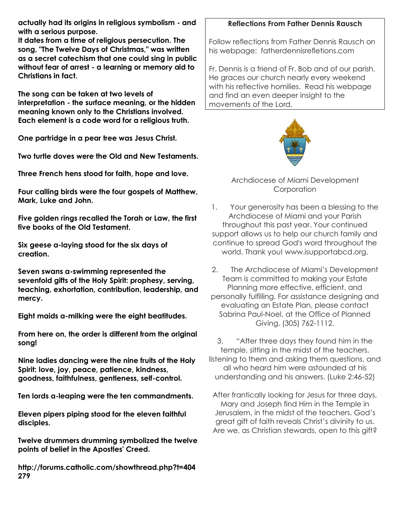**actually had its origins in religious symbolism - and with a serious purpose.**

**It dates from a time of religious persecution. The song, "The Twelve Days of Christmas," was written as a secret catechism that one could sing in public without fear of arrest - a learning or memory aid to Christians in fact.**

**The song can be taken at two levels of interpretation - the surface meaning, or the hidden meaning known only to the Christians involved. Each element is a code word for a religious truth.**

**One partridge in a pear tree was Jesus Christ.**

**Two turtle doves were the Old and New Testaments.**

**Three French hens stood for faith, hope and love.**

**Four calling birds were the four gospels of Matthew, Mark, Luke and John.**

**Five golden rings recalled the Torah or Law, the first five books of the Old Testament.**

**Six geese a-laying stood for the six days of creation.**

**Seven swans a-swimming represented the sevenfold gifts of the Holy Spirit: prophesy, serving, teaching, exhortation, contribution, leadership, and mercy.**

**Eight maids a-milking were the eight beatitudes.**

**From here on, the order is different from the original song!**

**Nine ladies dancing were the nine fruits of the Holy Spirit: love, joy, peace, patience, kindness, goodness, faithfulness, gentleness, self-control.**

**Ten lords a-leaping were the ten commandments.**

**Eleven pipers piping stood for the eleven faithful disciples.**

**Twelve drummers drumming symbolized the twelve points of belief in the Apostles' Creed.**

**http://forums.catholic.com/showthread.php?t=404 279**

# **Reflections From Father Dennis Rausch**

Follow reflections from Father Dennis Rausch on his webpage: fatherdennisrefletions.com

Fr. Dennis is a friend of Fr. Bob and of our parish. He graces our church nearly every weekend with his reflective homilies. Read his webpage and find an even deeper insight to the movements of the Lord.



Archdiocese of Miami Development **Corporation** 

1. Your generosity has been a blessing to the Archdiocese of Miami and your Parish throughout this past year. Your continued support allows us to help our church family and continue to spread God's word throughout the world. Thank you! www.isupportabcd.org.

2. The Archdiocese of Miami's Development Team is committed to making your Estate Planning more effective, efficient, and personally fulfilling. For assistance designing and evaluating an Estate Plan, please contact Sabrina Paul-Noel, at the Office of Planned Giving. (305) 762-1112.

3. "After three days they found him in the temple, sitting in the midst of the teachers, listening to them and asking them questions, and all who heard him were astounded at his understanding and his answers. (Luke 2:46-52)

After frantically looking for Jesus for three days, Mary and Joseph find Him in the Temple in Jerusalem, in the midst of the teachers. God's great gift of faith reveals Christ's divinity to us. Are we, as Christian stewards, open to this gift?